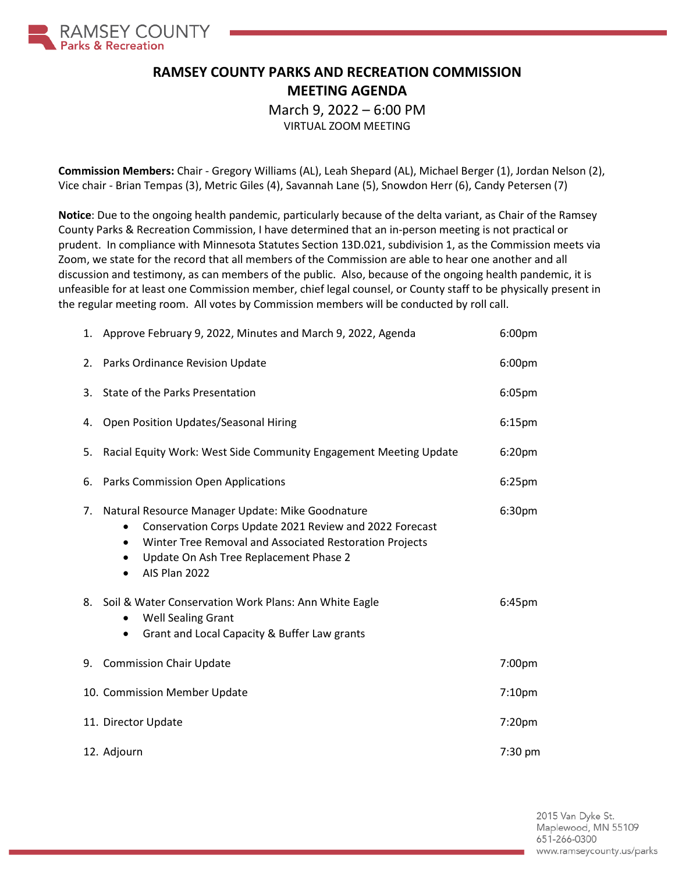

## **RAMSEY COUNTY PARKS AND RECREATION COMMISSION MEETING AGENDA**

March 9, 2022 – 6:00 PM

VIRTUAL ZOOM MEETING

**Commission Members:** Chair - Gregory Williams (AL), Leah Shepard (AL), Michael Berger (1), Jordan Nelson (2), Vice chair - Brian Tempas (3), Metric Giles (4), Savannah Lane (5), Snowdon Herr (6), Candy Petersen (7)

**Notice**: Due to the ongoing health pandemic, particularly because of the delta variant, as Chair of the Ramsey County Parks & Recreation Commission, I have determined that an in-person meeting is not practical or prudent. In compliance with Minnesota Statutes Section 13D.021, subdivision 1, as the Commission meets via Zoom, we state for the record that all members of the Commission are able to hear one another and all discussion and testimony, as can members of the public. Also, because of the ongoing health pandemic, it is unfeasible for at least one Commission member, chief legal counsel, or County staff to be physically present in the regular meeting room. All votes by Commission members will be conducted by roll call.

|    | 1. Approve February 9, 2022, Minutes and March 9, 2022, Agenda                                                                                                                                                                                              | 6:00pm             |
|----|-------------------------------------------------------------------------------------------------------------------------------------------------------------------------------------------------------------------------------------------------------------|--------------------|
| 2. | Parks Ordinance Revision Update                                                                                                                                                                                                                             | 6:00pm             |
| 3. | State of the Parks Presentation                                                                                                                                                                                                                             | 6:05pm             |
| 4. | Open Position Updates/Seasonal Hiring                                                                                                                                                                                                                       | 6:15 <sub>pm</sub> |
| 5. | Racial Equity Work: West Side Community Engagement Meeting Update                                                                                                                                                                                           | 6:20pm             |
| 6. | <b>Parks Commission Open Applications</b>                                                                                                                                                                                                                   | $6:25$ pm          |
| 7. | Natural Resource Manager Update: Mike Goodnature<br>Conservation Corps Update 2021 Review and 2022 Forecast<br>Winter Tree Removal and Associated Restoration Projects<br>$\bullet$<br>Update On Ash Tree Replacement Phase 2<br>$\bullet$<br>AIS Plan 2022 | 6:30pm             |
|    | 8. Soil & Water Conservation Work Plans: Ann White Eagle<br><b>Well Sealing Grant</b><br>$\bullet$<br>Grant and Local Capacity & Buffer Law grants<br>٠                                                                                                     | 6:45pm             |
| 9. | <b>Commission Chair Update</b>                                                                                                                                                                                                                              | 7:00pm             |
|    | 10. Commission Member Update                                                                                                                                                                                                                                | 7:10pm             |
|    | 11. Director Update                                                                                                                                                                                                                                         | 7:20pm             |
|    | 12. Adjourn                                                                                                                                                                                                                                                 | 7:30 pm            |